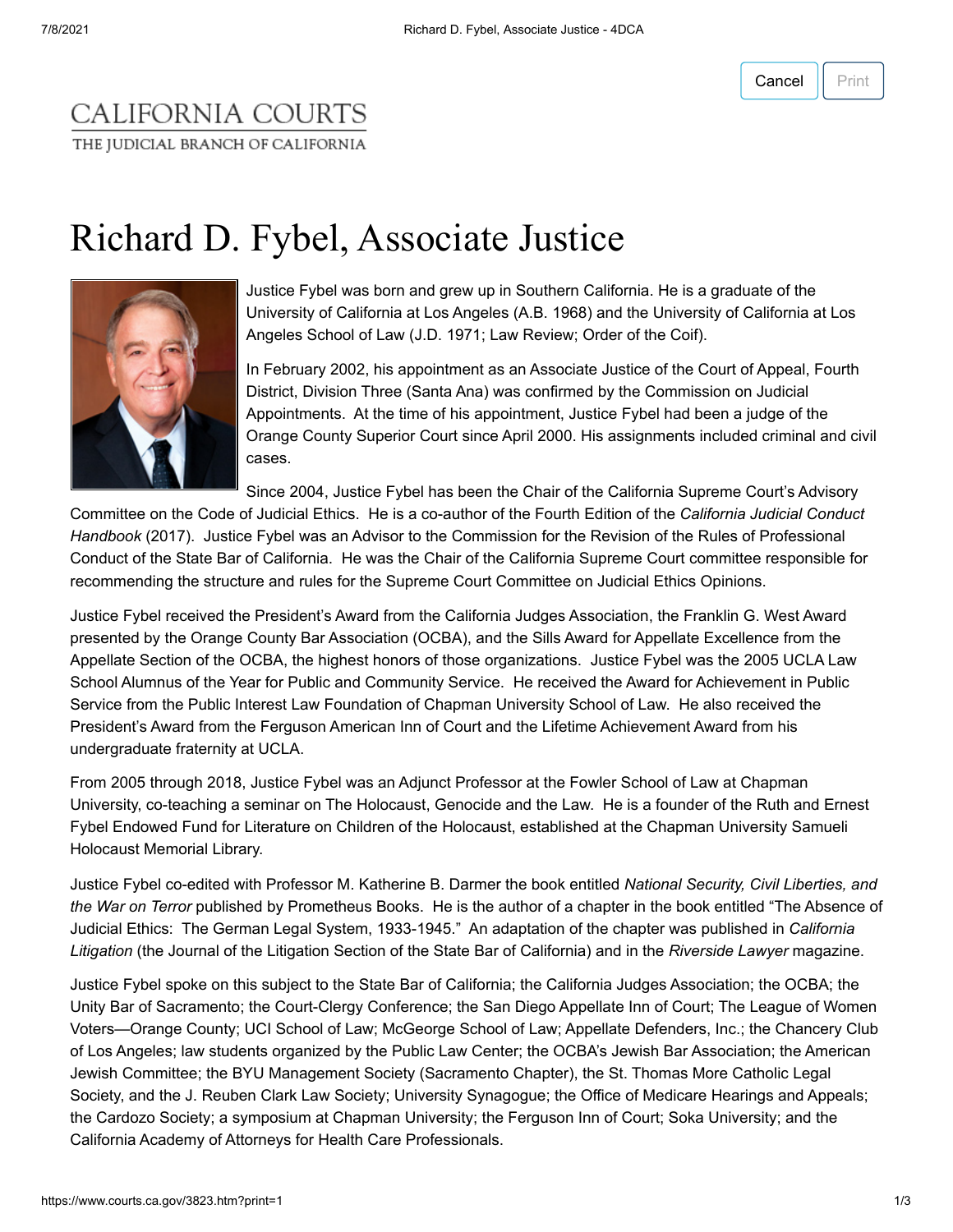## CALIFORNIA COURTS THE JUDICIAL BRANCH OF CALIFORNIA

## Richard D. Fybel, Associate Justice



Justice Fybel was born and grew up in Southern California. He is a graduate of the University of California at Los Angeles (A.B. 1968) and the University of California at Los Angeles School of Law (J.D. 1971; Law Review; Order of the Coif).

In February 2002, his appointment as an Associate Justice of the Court of Appeal, Fourth District, Division Three (Santa Ana) was confirmed by the Commission on Judicial Appointments. At the time of his appointment, Justice Fybel had been a judge of the Orange County Superior Court since April 2000. His assignments included criminal and civil cases.

Since 2004, Justice Fybel has been the Chair of the California Supreme Court's Advisory

Committee on the Code of Judicial Ethics. He is a co-author of the Fourth Edition of the *California Judicial Conduct Handbook* (2017). Justice Fybel was an Advisor to the Commission for the Revision of the Rules of Professional Conduct of the State Bar of California. He was the Chair of the California Supreme Court committee responsible for recommending the structure and rules for the Supreme Court Committee on Judicial Ethics Opinions.

Justice Fybel received the President's Award from the California Judges Association, the Franklin G. West Award presented by the Orange County Bar Association (OCBA), and the Sills Award for Appellate Excellence from the Appellate Section of the OCBA, the highest honors of those organizations. Justice Fybel was the 2005 UCLA Law School Alumnus of the Year for Public and Community Service. He received the Award for Achievement in Public Service from the Public Interest Law Foundation of Chapman University School of Law. He also received the President's Award from the Ferguson American Inn of Court and the Lifetime Achievement Award from his undergraduate fraternity at UCLA.

From 2005 through 2018, Justice Fybel was an Adjunct Professor at the Fowler School of Law at Chapman University, co-teaching a seminar on The Holocaust, Genocide and the Law. He is a founder of the Ruth and Ernest Fybel Endowed Fund for Literature on Children of the Holocaust, established at the Chapman University Samueli Holocaust Memorial Library.

Justice Fybel co-edited with Professor M. Katherine B. Darmer the book entitled *National Security, Civil Liberties, and the War on Terror* published by Prometheus Books. He is the author of a chapter in the book entitled "The Absence of Judicial Ethics: The German Legal System, 1933-1945." An adaptation of the chapter was published in *California Litigation* (the Journal of the Litigation Section of the State Bar of California) and in the *Riverside Lawyer* magazine.

Justice Fybel spoke on this subject to the State Bar of California; the California Judges Association; the OCBA; the Unity Bar of Sacramento; the Court-Clergy Conference; the San Diego Appellate Inn of Court; The League of Women Voters—Orange County; UCI School of Law; McGeorge School of Law; Appellate Defenders, Inc.; the Chancery Club of Los Angeles; law students organized by the Public Law Center; the OCBA's Jewish Bar Association; the American Jewish Committee; the BYU Management Society (Sacramento Chapter), the St. Thomas More Catholic Legal Society, and the J. Reuben Clark Law Society; University Synagogue; the Office of Medicare Hearings and Appeals; the Cardozo Society; a symposium at Chapman University; the Ferguson Inn of Court; Soka University; and the California Academy of Attorneys for Health Care Professionals.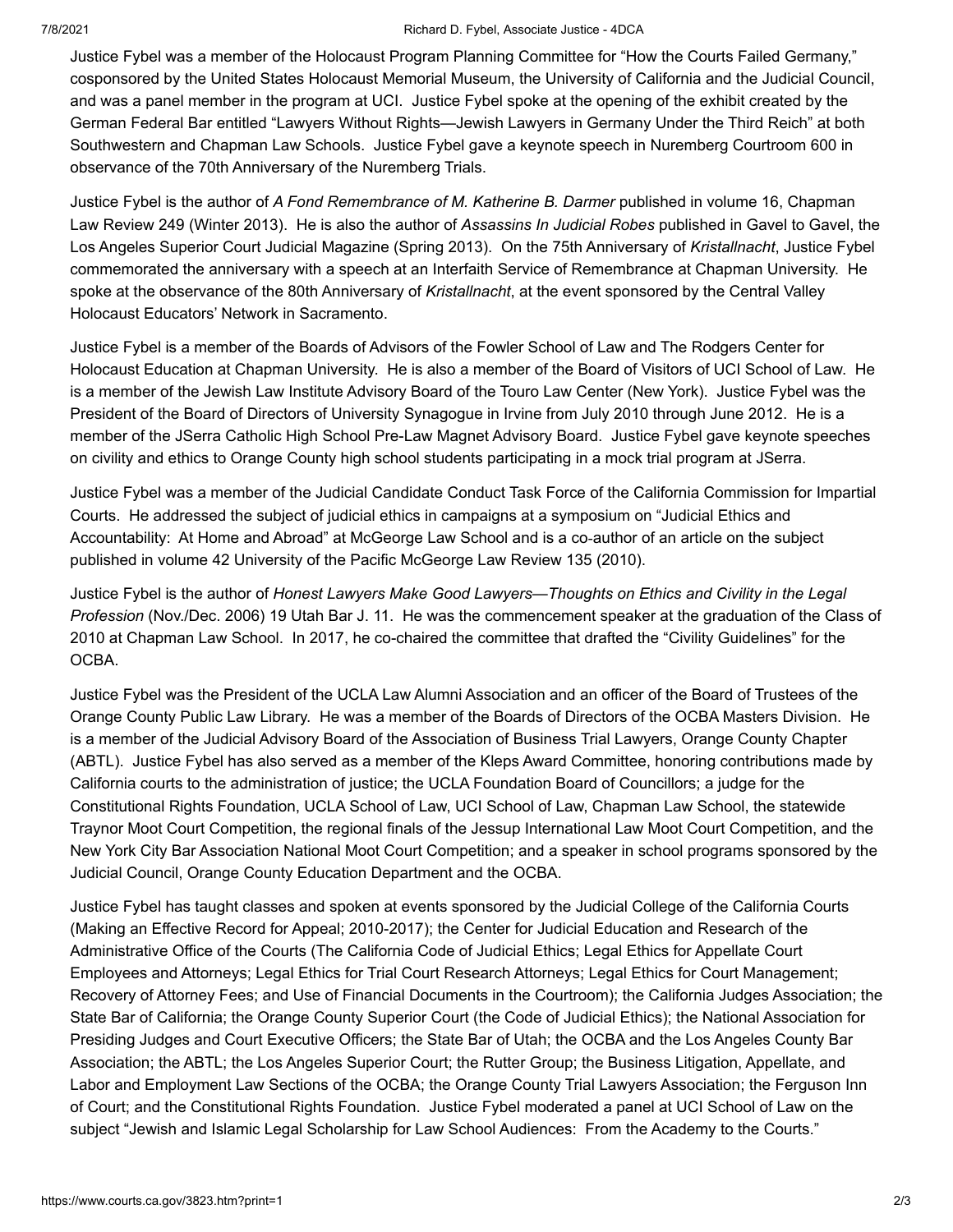## 7/8/2021 Richard D. Fybel, Associate Justice - 4DCA

Justice Fybel was a member of the Holocaust Program Planning Committee for "How the Courts Failed Germany," cosponsored by the United States Holocaust Memorial Museum, the University of California and the Judicial Council, and was a panel member in the program at UCI. Justice Fybel spoke at the opening of the exhibit created by the German Federal Bar entitled "Lawyers Without Rights—Jewish Lawyers in Germany Under the Third Reich" at both Southwestern and Chapman Law Schools. Justice Fybel gave a keynote speech in Nuremberg Courtroom 600 in observance of the 70th Anniversary of the Nuremberg Trials.

Justice Fybel is the author of *A Fond Remembrance of M. Katherine B. Darmer* published in volume 16, Chapman Law Review 249 (Winter 2013). He is also the author of *Assassins In Judicial Robes* published in Gavel to Gavel, the Los Angeles Superior Court Judicial Magazine (Spring 2013). On the 75th Anniversary of *Kristallnacht*, Justice Fybel commemorated the anniversary with a speech at an Interfaith Service of Remembrance at Chapman University. He spoke at the observance of the 80th Anniversary of *Kristallnacht*, at the event sponsored by the Central Valley Holocaust Educators' Network in Sacramento.

Justice Fybel is a member of the Boards of Advisors of the Fowler School of Law and The Rodgers Center for Holocaust Education at Chapman University. He is also a member of the Board of Visitors of UCI School of Law. He is a member of the Jewish Law Institute Advisory Board of the Touro Law Center (New York). Justice Fybel was the President of the Board of Directors of University Synagogue in Irvine from July 2010 through June 2012. He is a member of the JSerra Catholic High School Pre-Law Magnet Advisory Board. Justice Fybel gave keynote speeches on civility and ethics to Orange County high school students participating in a mock trial program at JSerra.

Justice Fybel was a member of the Judicial Candidate Conduct Task Force of the California Commission for Impartial Courts. He addressed the subject of judicial ethics in campaigns at a symposium on "Judicial Ethics and Accountability: At Home and Abroad" at McGeorge Law School and is a co‑author of an article on the subject published in volume 42 University of the Pacific McGeorge Law Review 135 (2010).

Justice Fybel is the author of *Honest Lawyers Make Good Lawyers—Thoughts on Ethics and Civility in the Legal Profession* (Nov./Dec. 2006) 19 Utah Bar J. 11. He was the commencement speaker at the graduation of the Class of 2010 at Chapman Law School. In 2017, he co-chaired the committee that drafted the "Civility Guidelines" for the OCBA.

Justice Fybel was the President of the UCLA Law Alumni Association and an officer of the Board of Trustees of the Orange County Public Law Library. He was a member of the Boards of Directors of the OCBA Masters Division. He is a member of the Judicial Advisory Board of the Association of Business Trial Lawyers, Orange County Chapter (ABTL). Justice Fybel has also served as a member of the Kleps Award Committee, honoring contributions made by California courts to the administration of justice; the UCLA Foundation Board of Councillors; a judge for the Constitutional Rights Foundation, UCLA School of Law, UCI School of Law, Chapman Law School, the statewide Traynor Moot Court Competition, the regional finals of the Jessup International Law Moot Court Competition, and the New York City Bar Association National Moot Court Competition; and a speaker in school programs sponsored by the Judicial Council, Orange County Education Department and the OCBA.

Justice Fybel has taught classes and spoken at events sponsored by the Judicial College of the California Courts (Making an Effective Record for Appeal; 2010-2017); the Center for Judicial Education and Research of the Administrative Office of the Courts (The California Code of Judicial Ethics; Legal Ethics for Appellate Court Employees and Attorneys; Legal Ethics for Trial Court Research Attorneys; Legal Ethics for Court Management; Recovery of Attorney Fees; and Use of Financial Documents in the Courtroom); the California Judges Association; the State Bar of California; the Orange County Superior Court (the Code of Judicial Ethics); the National Association for Presiding Judges and Court Executive Officers; the State Bar of Utah; the OCBA and the Los Angeles County Bar Association; the ABTL; the Los Angeles Superior Court; the Rutter Group; the Business Litigation, Appellate, and Labor and Employment Law Sections of the OCBA; the Orange County Trial Lawyers Association; the Ferguson Inn of Court; and the Constitutional Rights Foundation. Justice Fybel moderated a panel at UCI School of Law on the subject "Jewish and Islamic Legal Scholarship for Law School Audiences: From the Academy to the Courts."